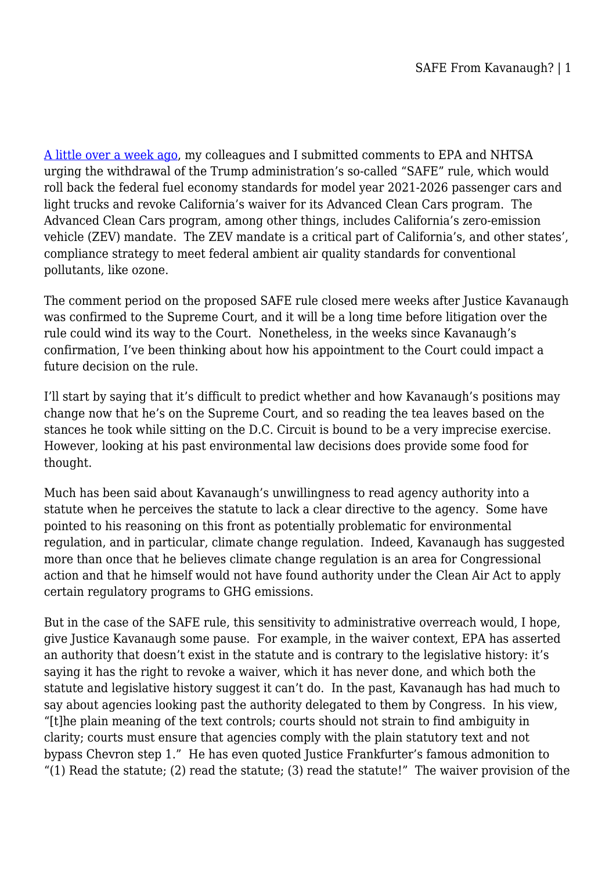[A little over a week ago,](http://legal-planet.org/2018/10/25/not-safe-for-california/) my colleagues and I submitted comments to EPA and NHTSA urging the withdrawal of the Trump administration's so-called "SAFE" rule, which would roll back the federal fuel economy standards for model year 2021-2026 passenger cars and light trucks and revoke California's waiver for its Advanced Clean Cars program. The Advanced Clean Cars program, among other things, includes California's zero-emission vehicle (ZEV) mandate. The ZEV mandate is a critical part of California's, and other states', compliance strategy to meet federal ambient air quality standards for conventional pollutants, like ozone.

The comment period on the proposed SAFE rule closed mere weeks after Justice Kavanaugh was confirmed to the Supreme Court, and it will be a long time before litigation over the rule could wind its way to the Court. Nonetheless, in the weeks since Kavanaugh's confirmation, I've been thinking about how his appointment to the Court could impact a future decision on the rule.

I'll start by saying that it's difficult to predict whether and how Kavanaugh's positions may change now that he's on the Supreme Court, and so reading the tea leaves based on the stances he took while sitting on the D.C. Circuit is bound to be a very imprecise exercise. However, looking at his past environmental law decisions does provide some food for thought.

Much has been said about Kavanaugh's unwillingness to read agency authority into a statute when he perceives the statute to lack a clear directive to the agency. Some have pointed to his reasoning on this front as potentially problematic for environmental regulation, and in particular, climate change regulation. Indeed, Kavanaugh has suggested more than once that he believes climate change regulation is an area for Congressional action and that he himself would not have found authority under the Clean Air Act to apply certain regulatory programs to GHG emissions.

But in the case of the SAFE rule, this sensitivity to administrative overreach would, I hope, give Justice Kavanaugh some pause. For example, in the waiver context, EPA has asserted an authority that doesn't exist in the statute and is contrary to the legislative history: it's saying it has the right to revoke a waiver, which it has never done, and which both the statute and legislative history suggest it can't do. In the past, Kavanaugh has had much to say about agencies looking past the authority delegated to them by Congress. In his view, "[t]he plain meaning of the text controls; courts should not strain to find ambiguity in clarity; courts must ensure that agencies comply with the plain statutory text and not bypass Chevron step 1." He has even quoted Justice Frankfurter's famous admonition to "(1) Read the statute; (2) read the statute; (3) read the statute!" The waiver provision of the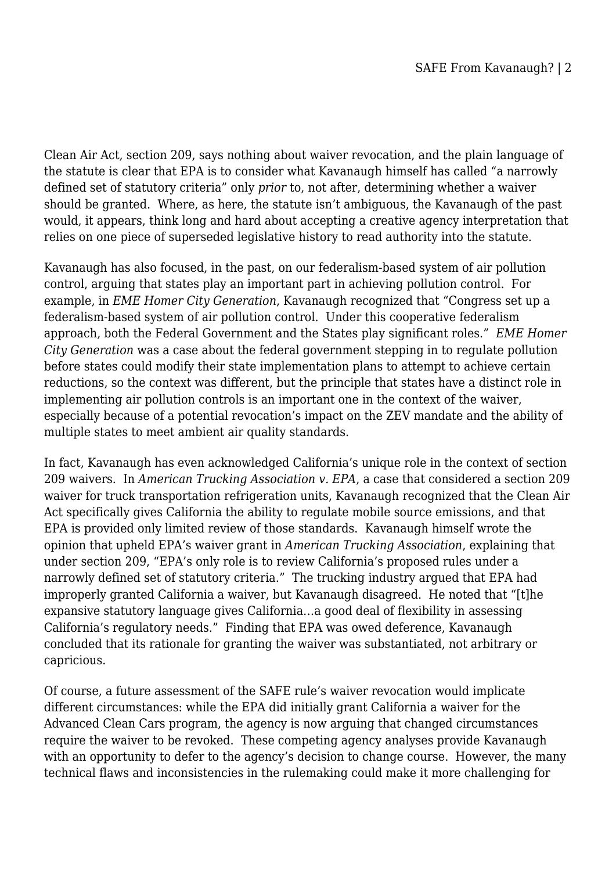Clean Air Act, section 209, says nothing about waiver revocation, and the plain language of the statute is clear that EPA is to consider what Kavanaugh himself has called "a narrowly defined set of statutory criteria" only *prior* to, not after, determining whether a waiver should be granted. Where, as here, the statute isn't ambiguous, the Kavanaugh of the past would, it appears, think long and hard about accepting a creative agency interpretation that relies on one piece of superseded legislative history to read authority into the statute.

Kavanaugh has also focused, in the past, on our federalism-based system of air pollution control, arguing that states play an important part in achieving pollution control. For example, in *EME Homer City Generation*, Kavanaugh recognized that "Congress set up a federalism-based system of air pollution control. Under this cooperative federalism approach, both the Federal Government and the States play significant roles." *EME Homer City Generation* was a case about the federal government stepping in to regulate pollution before states could modify their state implementation plans to attempt to achieve certain reductions, so the context was different, but the principle that states have a distinct role in implementing air pollution controls is an important one in the context of the waiver, especially because of a potential revocation's impact on the ZEV mandate and the ability of multiple states to meet ambient air quality standards.

In fact, Kavanaugh has even acknowledged California's unique role in the context of section 209 waivers. In *American Trucking Association v. EPA*, a case that considered a section 209 waiver for truck transportation refrigeration units, Kavanaugh recognized that the Clean Air Act specifically gives California the ability to regulate mobile source emissions, and that EPA is provided only limited review of those standards. Kavanaugh himself wrote the opinion that upheld EPA's waiver grant in *American Trucking Association*, explaining that under section 209, "EPA's only role is to review California's proposed rules under a narrowly defined set of statutory criteria." The trucking industry argued that EPA had improperly granted California a waiver, but Kavanaugh disagreed. He noted that "[t]he expansive statutory language gives California…a good deal of flexibility in assessing California's regulatory needs." Finding that EPA was owed deference, Kavanaugh concluded that its rationale for granting the waiver was substantiated, not arbitrary or capricious.

Of course, a future assessment of the SAFE rule's waiver revocation would implicate different circumstances: while the EPA did initially grant California a waiver for the Advanced Clean Cars program, the agency is now arguing that changed circumstances require the waiver to be revoked. These competing agency analyses provide Kavanaugh with an opportunity to defer to the agency's decision to change course. However, the many technical flaws and inconsistencies in the rulemaking could make it more challenging for